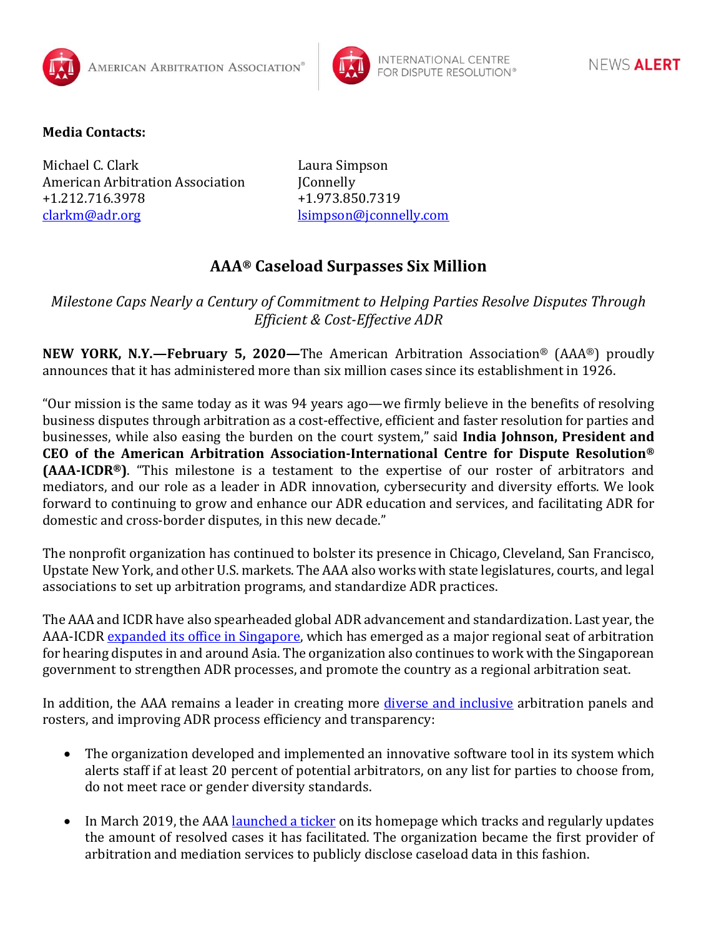



## **Media Contacts:**

Michael C. Clark Laura Simpson American Arbitration Association JConnelly +1.212.716.3978 +1.973.850.7319 [clarkm@adr.org](mailto:clarkm@adr.org) [lsimpson@jconnelly.com](mailto:lsimpson@jconnelly.com)

## **AAA® Caseload Surpasses Six Million**

*Milestone Caps Nearly a Century of Commitment to Helping Parties Resolve Disputes Through Efficient & Cost-Effective ADR*

**NEW YORK, N.Y.—February 5, 2020—**The American Arbitration Association® (AAA®) proudly announces that it has administered more than six million cases since its establishment in 1926.

"Our mission is the same today as it was 94 years ago—we firmly believe in the benefits of resolving business disputes through arbitration as a cost-effective, efficient and faster resolution for parties and businesses, while also easing the burden on the court system," said **India Johnson, President and CEO of the American Arbitration Association-International Centre for Dispute Resolution® (AAA-ICDR®)**. "This milestone is a testament to the expertise of our roster of arbitrators and mediators, and our role as a leader in ADR innovation, cybersecurity and diversity efforts. We look forward to continuing to grow and enhance our ADR education and services, and facilitating ADR for domestic and cross-border disputes, in this new decade."

The nonprofit organization has continued to bolster its presence in Chicago, Cleveland, San Francisco, Upstate New York, and other U.S. markets. The AAA also works with state legislatures, courts, and legal associations to set up arbitration programs, and standardize ADR practices.

The AAA and ICDR have also spearheaded global ADR advancement and standardization. Last year, the AAA-ICDR [expanded its office in Singapore,](https://go.adr.org/ICDR-Singapore.html) which has emerged as a major regional seat of arbitration for hearing disputes in and around Asia. The organization also continues to work with the Singaporean government to strengthen ADR processes, and promote the country as a regional arbitration seat.

In addition, the AAA remains a leader in creating more *diverse and [inclusive](https://www.adr.org/DiversityInitiatives)* arbitration panels and rosters, and improving ADR process efficiency and transparency:

- The organization developed and implemented an innovative software tool in its system which alerts staff if at least 20 percent of potential arbitrators, on any list for parties to choose from, do not meet race or gender diversity standards.
- In March 2019, the AAA [launched a ticker](https://www.adr.org/sites/default/files/document_repository/190321_AAA_Website_Ticker_Press_Release_final.pdf) on its homepage which tracks and regularly updates the amount of resolved cases it has facilitated. The organization became the first provider of arbitration and mediation services to publicly disclose caseload data in this fashion.